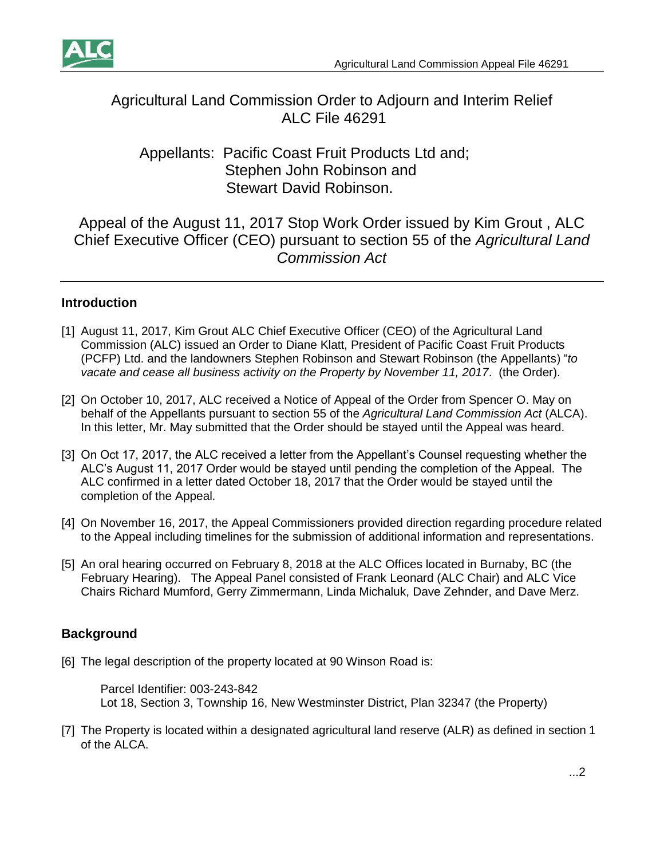

# Agricultural Land Commission Order to Adjourn and Interim Relief ALC File 46291

## Appellants: Pacific Coast Fruit Products Ltd and; Stephen John Robinson and Stewart David Robinson.

Appeal of the August 11, 2017 Stop Work Order issued by Kim Grout , ALC Chief Executive Officer (CEO) pursuant to section 55 of the *Agricultural Land Commission Act*

## **Introduction**

- [1] August 11, 2017, Kim Grout ALC Chief Executive Officer (CEO) of the Agricultural Land Commission (ALC) issued an Order to Diane Klatt, President of Pacific Coast Fruit Products (PCFP) Ltd. and the landowners Stephen Robinson and Stewart Robinson (the Appellants) "*to vacate and cease all business activity on the Property by November 11, 2017*. (the Order).
- [2] On October 10, 2017, ALC received a Notice of Appeal of the Order from Spencer O. May on behalf of the Appellants pursuant to section 55 of the *Agricultural Land Commission Act* (ALCA). In this letter, Mr. May submitted that the Order should be stayed until the Appeal was heard.
- [3] On Oct 17, 2017, the ALC received a letter from the Appellant's Counsel requesting whether the ALC's August 11, 2017 Order would be stayed until pending the completion of the Appeal. The ALC confirmed in a letter dated October 18, 2017 that the Order would be stayed until the completion of the Appeal.
- [4] On November 16, 2017, the Appeal Commissioners provided direction regarding procedure related to the Appeal including timelines for the submission of additional information and representations.
- [5] An oral hearing occurred on February 8, 2018 at the ALC Offices located in Burnaby, BC (the February Hearing). The Appeal Panel consisted of Frank Leonard (ALC Chair) and ALC Vice Chairs Richard Mumford, Gerry Zimmermann, Linda Michaluk, Dave Zehnder, and Dave Merz.

## **Background**

[6] The legal description of the property located at 90 Winson Road is:

Parcel Identifier: 003-243-842 Lot 18, Section 3, Township 16, New Westminster District, Plan 32347 (the Property)

[7] The Property is located within a designated agricultural land reserve (ALR) as defined in section 1 of the ALCA.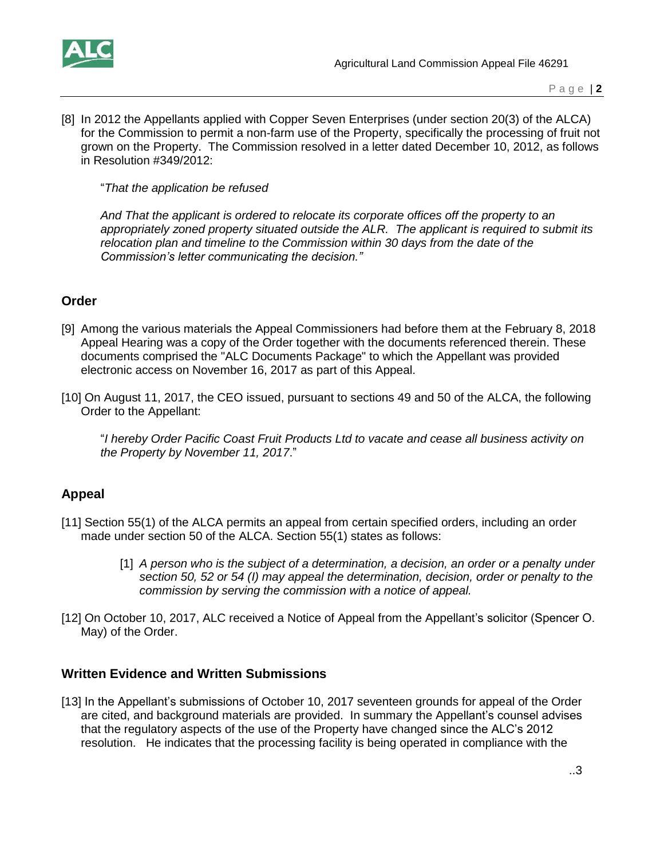

[8] In 2012 the Appellants applied with Copper Seven Enterprises (under section 20(3) of the ALCA) for the Commission to permit a non-farm use of the Property, specifically the processing of fruit not grown on the Property. The Commission resolved in a letter dated December 10, 2012, as follows in Resolution #349/2012:

"*That the application be refused* 

*And That the applicant is ordered to relocate its corporate offices off the property to an appropriately zoned property situated outside the ALR. The applicant is required to submit its relocation plan and timeline to the Commission within 30 days from the date of the Commission's letter communicating the decision."*

### **Order**

- [9] Among the various materials the Appeal Commissioners had before them at the February 8, 2018 Appeal Hearing was a copy of the Order together with the documents referenced therein. These documents comprised the "ALC Documents Package" to which the Appellant was provided electronic access on November 16, 2017 as part of this Appeal.
- [10] On August 11, 2017, the CEO issued, pursuant to sections 49 and 50 of the ALCA, the following Order to the Appellant:

"*I hereby Order Pacific Coast Fruit Products Ltd to vacate and cease all business activity on the Property by November 11, 2017*."

### **Appeal**

- [11] Section 55(1) of the ALCA permits an appeal from certain specified orders, including an order made under section 50 of the ALCA. Section 55(1) states as follows:
	- [1] *A person who is the subject of a determination, a decision, an order or a penalty under section 50, 52 or 54 (I) may appeal the determination, decision, order or penalty to the commission by serving the commission with a notice of appeal.*
- [12] On October 10, 2017, ALC received a Notice of Appeal from the Appellant's solicitor (Spencer O. May) of the Order.

### **Written Evidence and Written Submissions**

[13] In the Appellant's submissions of October 10, 2017 seventeen grounds for appeal of the Order are cited, and background materials are provided. In summary the Appellant's counsel advises that the regulatory aspects of the use of the Property have changed since the ALC's 2012 resolution. He indicates that the processing facility is being operated in compliance with the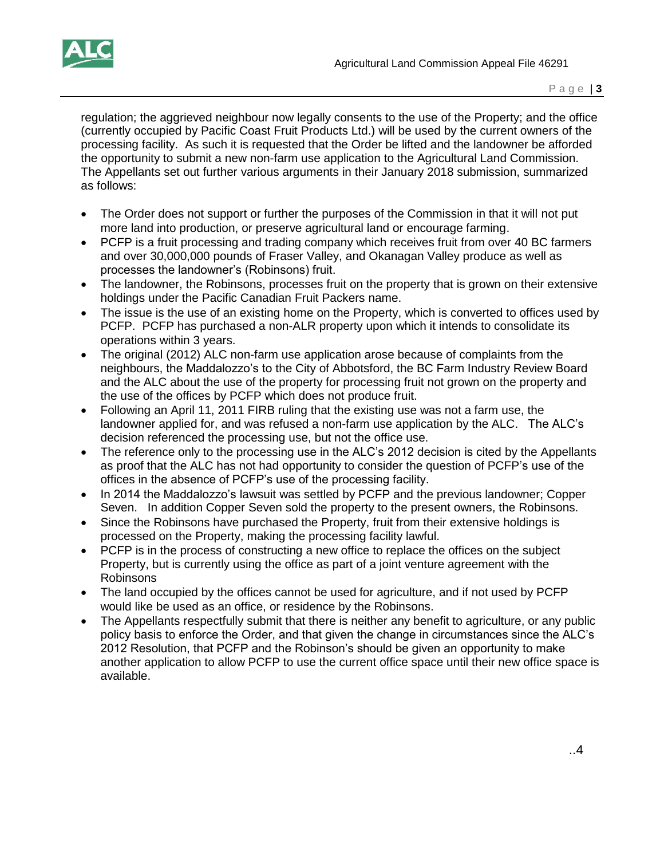

regulation; the aggrieved neighbour now legally consents to the use of the Property; and the office (currently occupied by Pacific Coast Fruit Products Ltd.) will be used by the current owners of the processing facility. As such it is requested that the Order be lifted and the landowner be afforded the opportunity to submit a new non-farm use application to the Agricultural Land Commission. The Appellants set out further various arguments in their January 2018 submission, summarized as follows:

- The Order does not support or further the purposes of the Commission in that it will not put more land into production, or preserve agricultural land or encourage farming.
- PCFP is a fruit processing and trading company which receives fruit from over 40 BC farmers and over 30,000,000 pounds of Fraser Valley, and Okanagan Valley produce as well as processes the landowner's (Robinsons) fruit.
- The landowner, the Robinsons, processes fruit on the property that is grown on their extensive holdings under the Pacific Canadian Fruit Packers name.
- The issue is the use of an existing home on the Property, which is converted to offices used by PCFP. PCFP has purchased a non-ALR property upon which it intends to consolidate its operations within 3 years.
- The original (2012) ALC non-farm use application arose because of complaints from the neighbours, the Maddalozzo's to the City of Abbotsford, the BC Farm Industry Review Board and the ALC about the use of the property for processing fruit not grown on the property and the use of the offices by PCFP which does not produce fruit.
- Following an April 11, 2011 FIRB ruling that the existing use was not a farm use, the landowner applied for, and was refused a non-farm use application by the ALC. The ALC's decision referenced the processing use, but not the office use.
- The reference only to the processing use in the ALC's 2012 decision is cited by the Appellants as proof that the ALC has not had opportunity to consider the question of PCFP's use of the offices in the absence of PCFP's use of the processing facility.
- In 2014 the Maddalozzo's lawsuit was settled by PCFP and the previous landowner; Copper Seven. In addition Copper Seven sold the property to the present owners, the Robinsons.
- Since the Robinsons have purchased the Property, fruit from their extensive holdings is processed on the Property, making the processing facility lawful.
- PCFP is in the process of constructing a new office to replace the offices on the subject Property, but is currently using the office as part of a joint venture agreement with the Robinsons
- The land occupied by the offices cannot be used for agriculture, and if not used by PCFP would like be used as an office, or residence by the Robinsons.
- The Appellants respectfully submit that there is neither any benefit to agriculture, or any public policy basis to enforce the Order, and that given the change in circumstances since the ALC's 2012 Resolution, that PCFP and the Robinson's should be given an opportunity to make another application to allow PCFP to use the current office space until their new office space is available.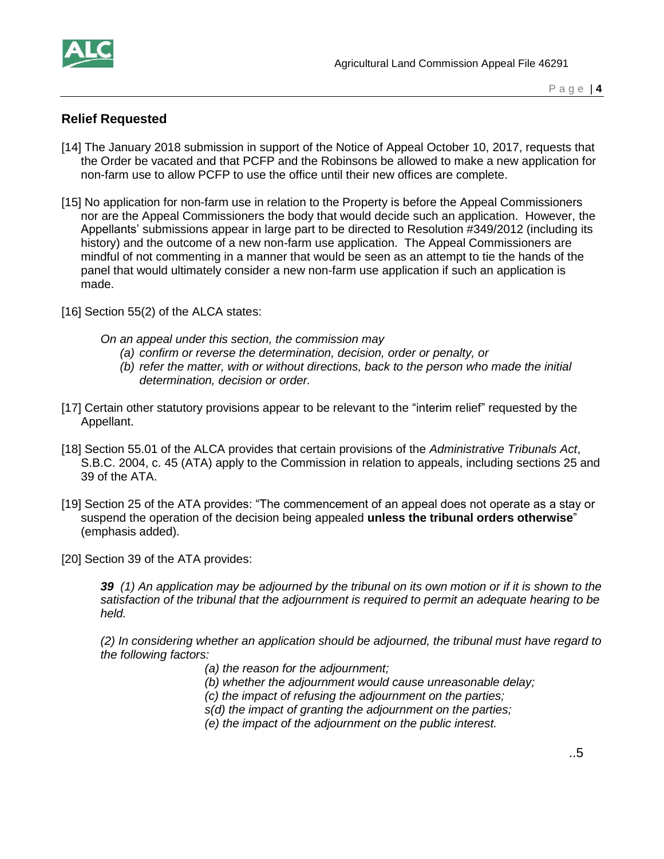

### **Relief Requested**

- [14] The January 2018 submission in support of the Notice of Appeal October 10, 2017, requests that the Order be vacated and that PCFP and the Robinsons be allowed to make a new application for non-farm use to allow PCFP to use the office until their new offices are complete.
- [15] No application for non-farm use in relation to the Property is before the Appeal Commissioners nor are the Appeal Commissioners the body that would decide such an application. However, the Appellants' submissions appear in large part to be directed to Resolution #349/2012 (including its history) and the outcome of a new non-farm use application. The Appeal Commissioners are mindful of not commenting in a manner that would be seen as an attempt to tie the hands of the panel that would ultimately consider a new non-farm use application if such an application is made.
- [16] Section 55(2) of the ALCA states:
	- *On an appeal under this section, the commission may*
		- *(a) confirm or reverse the determination, decision, order or penalty, or*
		- *(b) refer the matter, with or without directions, back to the person who made the initial determination, decision or order.*
- [17] Certain other statutory provisions appear to be relevant to the "interim relief" requested by the Appellant.
- [18] Section 55.01 of the ALCA provides that certain provisions of the *Administrative Tribunals Act*, S.B.C. 2004, c. 45 (ATA) apply to the Commission in relation to appeals, including sections 25 and 39 of the ATA.
- [19] Section 25 of the ATA provides: "The commencement of an appeal does not operate as a stay or suspend the operation of the decision being appealed **unless the tribunal orders otherwise**" (emphasis added).
- [20] Section 39 of the ATA provides:

*39 (1) An application may be adjourned by the tribunal on its own motion or if it is shown to the satisfaction of the tribunal that the adjournment is required to permit an adequate hearing to be held.*

*(2) In considering whether an application should be adjourned, the tribunal must have regard to the following factors:*

- *(a) the reason for the adjournment;*
- *(b) whether the adjournment would cause unreasonable delay;*
- *(c) the impact of refusing the adjournment on the parties;*
- *s(d) the impact of granting the adjournment on the parties;*
- *(e) the impact of the adjournment on the public interest.*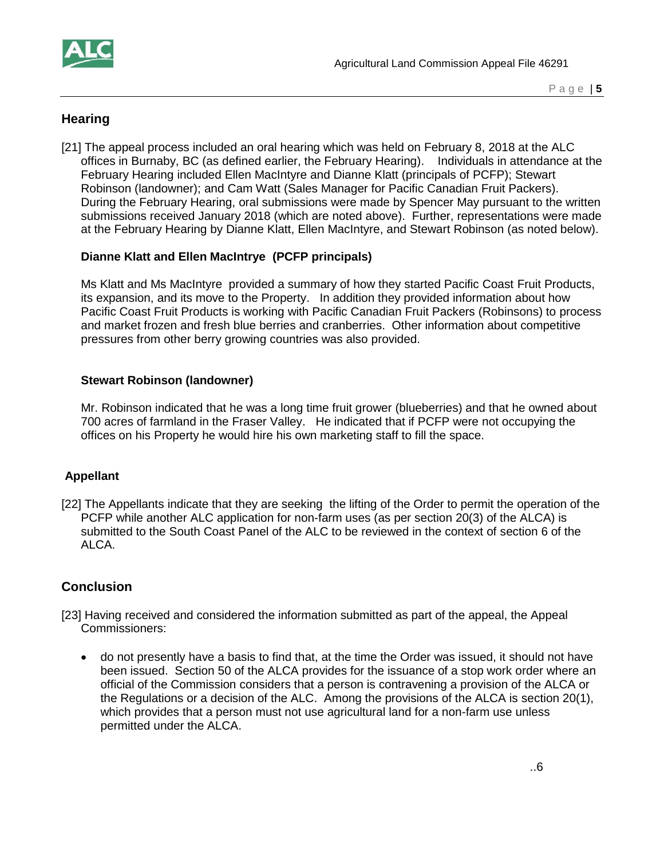

### **Hearing**

[21] The appeal process included an oral hearing which was held on February 8, 2018 at the ALC offices in Burnaby, BC (as defined earlier, the February Hearing). Individuals in attendance at the February Hearing included Ellen MacIntyre and Dianne Klatt (principals of PCFP); Stewart Robinson (landowner); and Cam Watt (Sales Manager for Pacific Canadian Fruit Packers). During the February Hearing, oral submissions were made by Spencer May pursuant to the written submissions received January 2018 (which are noted above). Further, representations were made at the February Hearing by Dianne Klatt, Ellen MacIntyre, and Stewart Robinson (as noted below).

#### **Dianne Klatt and Ellen MacIntrye (PCFP principals)**

Ms Klatt and Ms MacIntyre provided a summary of how they started Pacific Coast Fruit Products, its expansion, and its move to the Property. In addition they provided information about how Pacific Coast Fruit Products is working with Pacific Canadian Fruit Packers (Robinsons) to process and market frozen and fresh blue berries and cranberries. Other information about competitive pressures from other berry growing countries was also provided.

#### **Stewart Robinson (landowner)**

Mr. Robinson indicated that he was a long time fruit grower (blueberries) and that he owned about 700 acres of farmland in the Fraser Valley. He indicated that if PCFP were not occupying the offices on his Property he would hire his own marketing staff to fill the space.

#### **Appellant**

[22] The Appellants indicate that they are seeking the lifting of the Order to permit the operation of the PCFP while another ALC application for non-farm uses (as per section 20(3) of the ALCA) is submitted to the South Coast Panel of the ALC to be reviewed in the context of section 6 of the ALCA.

### **Conclusion**

- [23] Having received and considered the information submitted as part of the appeal, the Appeal Commissioners:
	- do not presently have a basis to find that, at the time the Order was issued, it should not have been issued. Section 50 of the ALCA provides for the issuance of a stop work order where an official of the Commission considers that a person is contravening a provision of the ALCA or the Regulations or a decision of the ALC. Among the provisions of the ALCA is section 20(1), which provides that a person must not use agricultural land for a non-farm use unless permitted under the ALCA.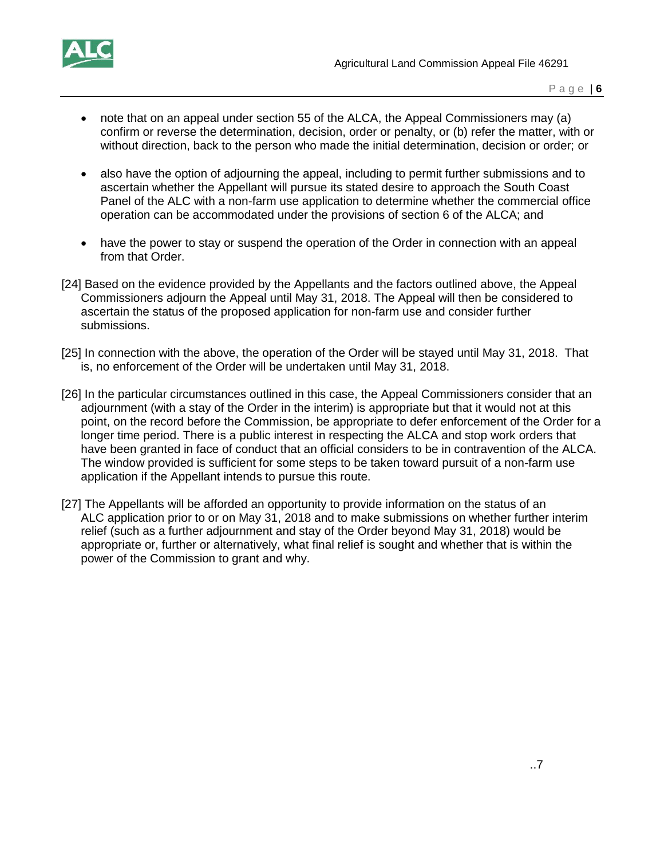

- note that on an appeal under section 55 of the ALCA, the Appeal Commissioners may (a) confirm or reverse the determination, decision, order or penalty, or (b) refer the matter, with or without direction, back to the person who made the initial determination, decision or order; or
- also have the option of adjourning the appeal, including to permit further submissions and to ascertain whether the Appellant will pursue its stated desire to approach the South Coast Panel of the ALC with a non-farm use application to determine whether the commercial office operation can be accommodated under the provisions of section 6 of the ALCA; and
- have the power to stay or suspend the operation of the Order in connection with an appeal from that Order.
- [24] Based on the evidence provided by the Appellants and the factors outlined above, the Appeal Commissioners adjourn the Appeal until May 31, 2018. The Appeal will then be considered to ascertain the status of the proposed application for non-farm use and consider further submissions.
- [25] In connection with the above, the operation of the Order will be stayed until May 31, 2018. That is, no enforcement of the Order will be undertaken until May 31, 2018.
- [26] In the particular circumstances outlined in this case, the Appeal Commissioners consider that an adjournment (with a stay of the Order in the interim) is appropriate but that it would not at this point, on the record before the Commission, be appropriate to defer enforcement of the Order for a longer time period. There is a public interest in respecting the ALCA and stop work orders that have been granted in face of conduct that an official considers to be in contravention of the ALCA. The window provided is sufficient for some steps to be taken toward pursuit of a non-farm use application if the Appellant intends to pursue this route.
- [27] The Appellants will be afforded an opportunity to provide information on the status of an ALC application prior to or on May 31, 2018 and to make submissions on whether further interim relief (such as a further adjournment and stay of the Order beyond May 31, 2018) would be appropriate or, further or alternatively, what final relief is sought and whether that is within the power of the Commission to grant and why.